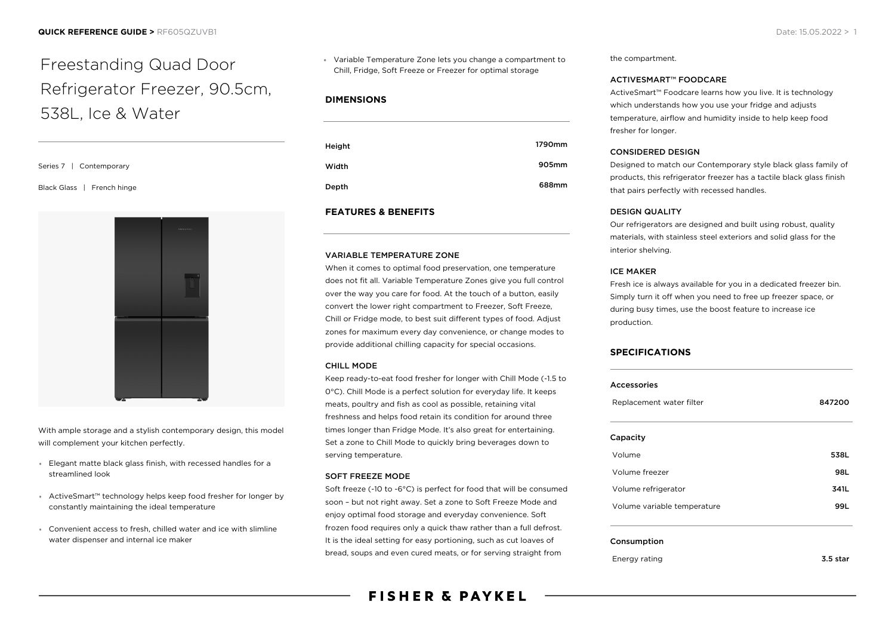# Freestanding Quad Door Refrigerator Freezer, 90.5cm, 538L, Ice & Water

Series 7 | Contemporary

#### Black Glass | French hinge



With ample storage and a stylish contemporary design, this model will complement your kitchen perfectly.

- Elegant matte black glass finish, with recessed handles for a streamlined look
- ActiveSmart™ technology helps keep food fresher for longer by constantly maintaining the ideal temperature
- Convenient access to fresh, chilled water and ice with slimline water dispenser and internal ice maker

Variable Temperature Zone lets you change a compartment to Chill, Fridge, Soft Freeze or Freezer for optimal storage

#### **DIMENSIONS**

| Height | 1790mm |
|--------|--------|
| Width  | 905mm  |
| Depth  | 688mm  |

#### **FEATURES & BENEFITS**

#### VARIABLE TEMPERATURE ZONE

When it comes to optimal food preservation, one temperature does not fit all. Variable Temperature Zones give you full control over the way you care for food. At the touch of a button, easily convert the lower right compartment to Freezer, Soft Freeze, Chill or Fridge mode, to best suit different types of food. Adjust zones for maximum every day convenience, or change modes to provide additional chilling capacity for special occasions.

#### CHILL MODE

Keep ready-to-eat food fresher for longer with Chill Mode (-1.5 to 0°C). Chill Mode is a perfect solution for everyday life. It keeps meats, poultry and fish as cool as possible, retaining vital freshness and helps food retain its condition for around three times longer than Fridge Mode. It's also great for entertaining. Set a zone to Chill Mode to quickly bring beverages down to serving temperature.

#### SOFT FREEZE MODE

Soft freeze (-10 to -6°C) is perfect for food that will be consumed soon – but not right away. Set a zone to Soft Freeze Mode and enjoy optimal food storage and everyday convenience. Soft frozen food requires only a quick thaw rather than a full defrost. It is the ideal setting for easy portioning, such as cut loaves of bread, soups and even cured meats, or for serving straight from

## **FISHER & PAYKEL**

the compartment.

#### ACTIVESMART™ FOODCARE

ActiveSmart™ Foodcare learns how you live. It is technology which understands how you use your fridge and adjusts temperature, airflow and humidity inside to help keep food fresher for longer.

#### CONSIDERED DESIGN

Designed to match our Contemporary style black glass family of products, this refrigerator freezer has a tactile black glass finish that pairs perfectly with recessed handles.

#### DESIGN QUALITY

Our refrigerators are designed and built using robust, quality materials, with stainless steel exteriors and solid glass for the interior shelving.

#### ICE MAKER

Fresh ice is always available for you in a dedicated freezer bin. Simply turn it off when you need to free up freezer space, or during busy times, use the boost feature to increase ice production.

#### **SPECIFICATIONS**

| Accessories                 |        |
|-----------------------------|--------|
| Replacement water filter    | 847200 |
|                             |        |
| Capacity                    |        |
| Volume                      | 538L   |
| Volume freezer              | 98L    |
| Volume refrigerator         | 341L   |
| Volume variable temperature | 99L    |
|                             |        |

#### Consumption

Energy rating **3.5 star**